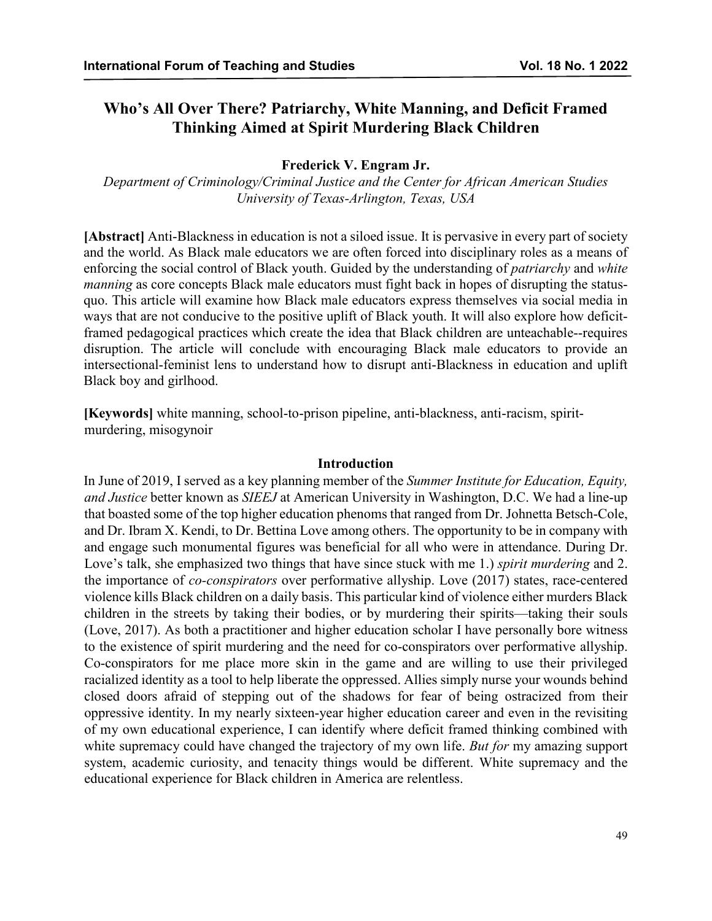# **Who's All Over There? Patriarchy, White Manning, and Deficit Framed Thinking Aimed at Spirit Murdering Black Children**

### **Frederick V. Engram Jr.**

*Department of Criminology/Criminal Justice and the Center for African American Studies University of Texas-Arlington, Texas, USA*

**[Abstract]** Anti-Blackness in education is not a siloed issue. It is pervasive in every part of society and the world. As Black male educators we are often forced into disciplinary roles as a means of enforcing the social control of Black youth. Guided by the understanding of *patriarchy* and *white manning* as core concepts Black male educators must fight back in hopes of disrupting the statusquo. This article will examine how Black male educators express themselves via social media in ways that are not conducive to the positive uplift of Black youth. It will also explore how deficitframed pedagogical practices which create the idea that Black children are unteachable--requires disruption. The article will conclude with encouraging Black male educators to provide an intersectional-feminist lens to understand how to disrupt anti-Blackness in education and uplift Black boy and girlhood.

**[Keywords]** white manning, school-to-prison pipeline, anti-blackness, anti-racism, spiritmurdering, misogynoir

### **Introduction**

In June of 2019, I served as a key planning member of the *Summer Institute for Education, Equity, and Justice* better known as *SIEEJ* at American University in Washington, D.C. We had a line-up that boasted some of the top higher education phenoms that ranged from Dr. Johnetta Betsch-Cole, and Dr. Ibram X. Kendi, to Dr. Bettina Love among others. The opportunity to be in company with and engage such monumental figures was beneficial for all who were in attendance. During Dr. Love's talk, she emphasized two things that have since stuck with me 1.) *spirit murdering* and 2. the importance of *co-conspirators* over performative allyship. Love (2017) states, race-centered violence kills Black children on a daily basis. This particular kind of violence either murders Black children in the streets by taking their bodies, or by murdering their spirits—taking their souls (Love, 2017). As both a practitioner and higher education scholar I have personally bore witness to the existence of spirit murdering and the need for co-conspirators over performative allyship. Co-conspirators for me place more skin in the game and are willing to use their privileged racialized identity as a tool to help liberate the oppressed. Allies simply nurse your wounds behind closed doors afraid of stepping out of the shadows for fear of being ostracized from their oppressive identity. In my nearly sixteen-year higher education career and even in the revisiting of my own educational experience, I can identify where deficit framed thinking combined with white supremacy could have changed the trajectory of my own life. *But for* my amazing support system, academic curiosity, and tenacity things would be different. White supremacy and the educational experience for Black children in America are relentless.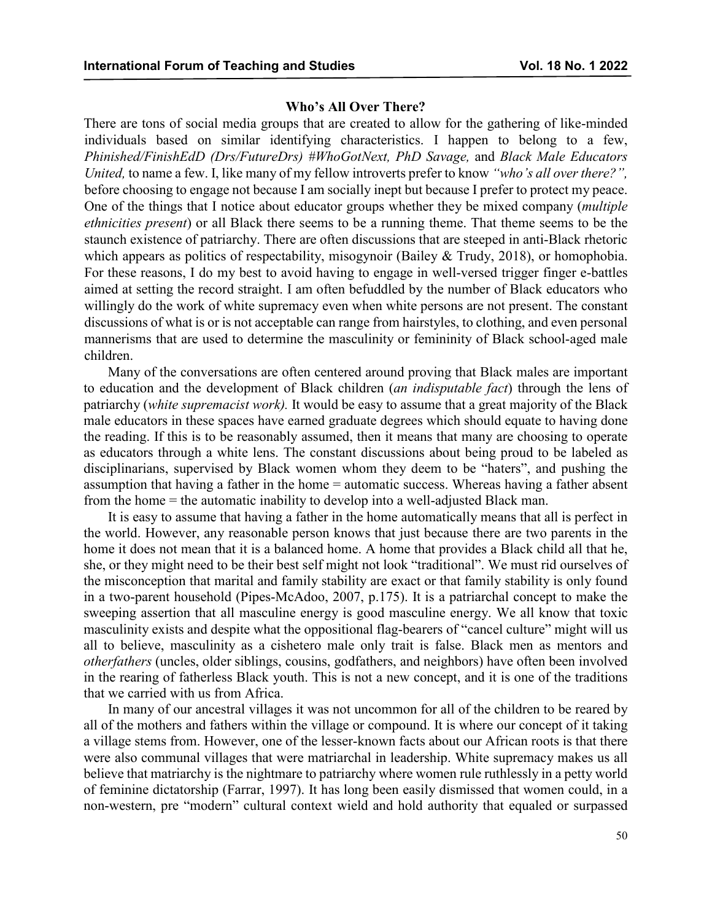### **Who's All Over There?**

There are tons of social media groups that are created to allow for the gathering of like-minded individuals based on similar identifying characteristics. I happen to belong to a few, *Phinished/FinishEdD (Drs/FutureDrs) #WhoGotNext, PhD Savage,* and *Black Male Educators United,* to name a few. I, like many of my fellow introverts prefer to know *"who's all over there?",* before choosing to engage not because I am socially inept but because I prefer to protect my peace. One of the things that I notice about educator groups whether they be mixed company (*multiple ethnicities present*) or all Black there seems to be a running theme. That theme seems to be the staunch existence of patriarchy. There are often discussions that are steeped in anti-Black rhetoric which appears as politics of respectability, misogynoir (Bailey & Trudy, 2018), or homophobia. For these reasons, I do my best to avoid having to engage in well-versed trigger finger e-battles aimed at setting the record straight. I am often befuddled by the number of Black educators who willingly do the work of white supremacy even when white persons are not present. The constant discussions of what is or is not acceptable can range from hairstyles, to clothing, and even personal mannerisms that are used to determine the masculinity or femininity of Black school-aged male children.

Many of the conversations are often centered around proving that Black males are important to education and the development of Black children (*an indisputable fact*) through the lens of patriarchy (*white supremacist work).* It would be easy to assume that a great majority of the Black male educators in these spaces have earned graduate degrees which should equate to having done the reading. If this is to be reasonably assumed, then it means that many are choosing to operate as educators through a white lens. The constant discussions about being proud to be labeled as disciplinarians, supervised by Black women whom they deem to be "haters", and pushing the assumption that having a father in the home = automatic success. Whereas having a father absent from the home = the automatic inability to develop into a well-adjusted Black man.

It is easy to assume that having a father in the home automatically means that all is perfect in the world. However, any reasonable person knows that just because there are two parents in the home it does not mean that it is a balanced home. A home that provides a Black child all that he, she, or they might need to be their best self might not look "traditional". We must rid ourselves of the misconception that marital and family stability are exact or that family stability is only found in a two-parent household (Pipes-McAdoo, 2007, p.175). It is a patriarchal concept to make the sweeping assertion that all masculine energy is good masculine energy. We all know that toxic masculinity exists and despite what the oppositional flag-bearers of "cancel culture" might will us all to believe, masculinity as a cishetero male only trait is false. Black men as mentors and *otherfathers* (uncles, older siblings, cousins, godfathers, and neighbors) have often been involved in the rearing of fatherless Black youth. This is not a new concept, and it is one of the traditions that we carried with us from Africa.

In many of our ancestral villages it was not uncommon for all of the children to be reared by all of the mothers and fathers within the village or compound. It is where our concept of it taking a village stems from. However, one of the lesser-known facts about our African roots is that there were also communal villages that were matriarchal in leadership. White supremacy makes us all believe that matriarchy is the nightmare to patriarchy where women rule ruthlessly in a petty world of feminine dictatorship (Farrar, 1997). It has long been easily dismissed that women could, in a non-western, pre "modern" cultural context wield and hold authority that equaled or surpassed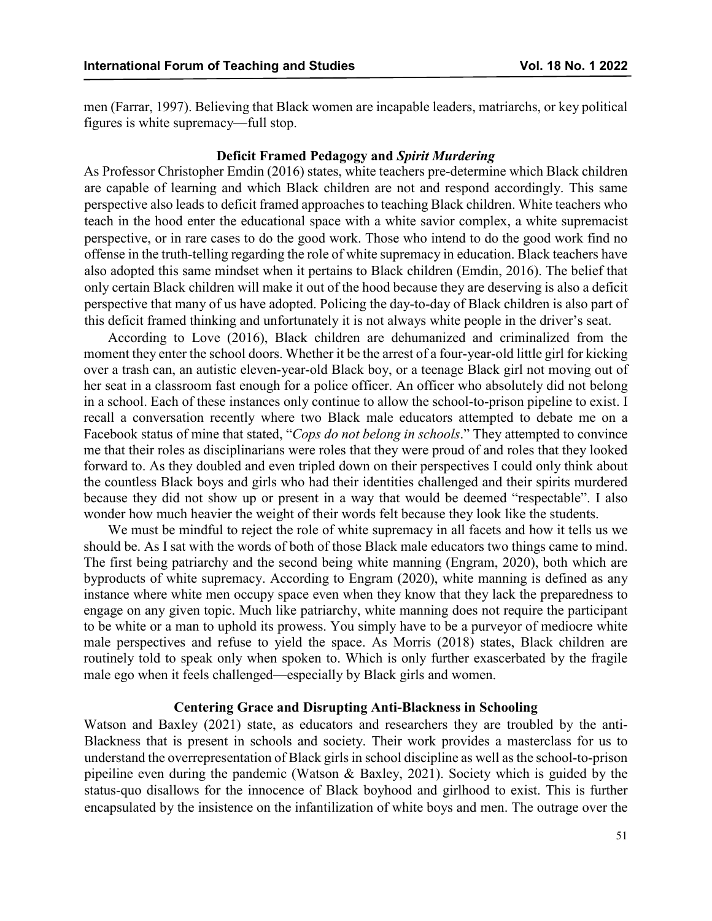men (Farrar, 1997). Believing that Black women are incapable leaders, matriarchs, or key political figures is white supremacy—full stop.

## **Deficit Framed Pedagogy and** *Spirit Murdering*

As Professor Christopher Emdin (2016) states, white teachers pre-determine which Black children are capable of learning and which Black children are not and respond accordingly. This same perspective also leads to deficit framed approaches to teaching Black children. White teachers who teach in the hood enter the educational space with a white savior complex, a white supremacist perspective, or in rare cases to do the good work. Those who intend to do the good work find no offense in the truth-telling regarding the role of white supremacy in education. Black teachers have also adopted this same mindset when it pertains to Black children (Emdin, 2016). The belief that only certain Black children will make it out of the hood because they are deserving is also a deficit perspective that many of us have adopted. Policing the day-to-day of Black children is also part of this deficit framed thinking and unfortunately it is not always white people in the driver's seat.

According to Love (2016), Black children are dehumanized and criminalized from the moment they enter the school doors. Whether it be the arrest of a four-year-old little girl for kicking over a trash can, an autistic eleven-year-old Black boy, or a teenage Black girl not moving out of her seat in a classroom fast enough for a police officer. An officer who absolutely did not belong in a school. Each of these instances only continue to allow the school-to-prison pipeline to exist. I recall a conversation recently where two Black male educators attempted to debate me on a Facebook status of mine that stated, "*Cops do not belong in schools*." They attempted to convince me that their roles as disciplinarians were roles that they were proud of and roles that they looked forward to. As they doubled and even tripled down on their perspectives I could only think about the countless Black boys and girls who had their identities challenged and their spirits murdered because they did not show up or present in a way that would be deemed "respectable". I also wonder how much heavier the weight of their words felt because they look like the students.

We must be mindful to reject the role of white supremacy in all facets and how it tells us we should be. As I sat with the words of both of those Black male educators two things came to mind. The first being patriarchy and the second being white manning (Engram, 2020), both which are byproducts of white supremacy. According to Engram (2020), white manning is defined as any instance where white men occupy space even when they know that they lack the preparedness to engage on any given topic. Much like patriarchy, white manning does not require the participant to be white or a man to uphold its prowess. You simply have to be a purveyor of mediocre white male perspectives and refuse to yield the space. As Morris (2018) states, Black children are routinely told to speak only when spoken to. Which is only further exascerbated by the fragile male ego when it feels challenged—especially by Black girls and women.

## **Centering Grace and Disrupting Anti-Blackness in Schooling**

Watson and Baxley (2021) state, as educators and researchers they are troubled by the anti-Blackness that is present in schools and society. Their work provides a masterclass for us to understand the overrepresentation of Black girls in school discipline as well as the school-to-prison pipeiline even during the pandemic (Watson & Baxley, 2021). Society which is guided by the status-quo disallows for the innocence of Black boyhood and girlhood to exist. This is further encapsulated by the insistence on the infantilization of white boys and men. The outrage over the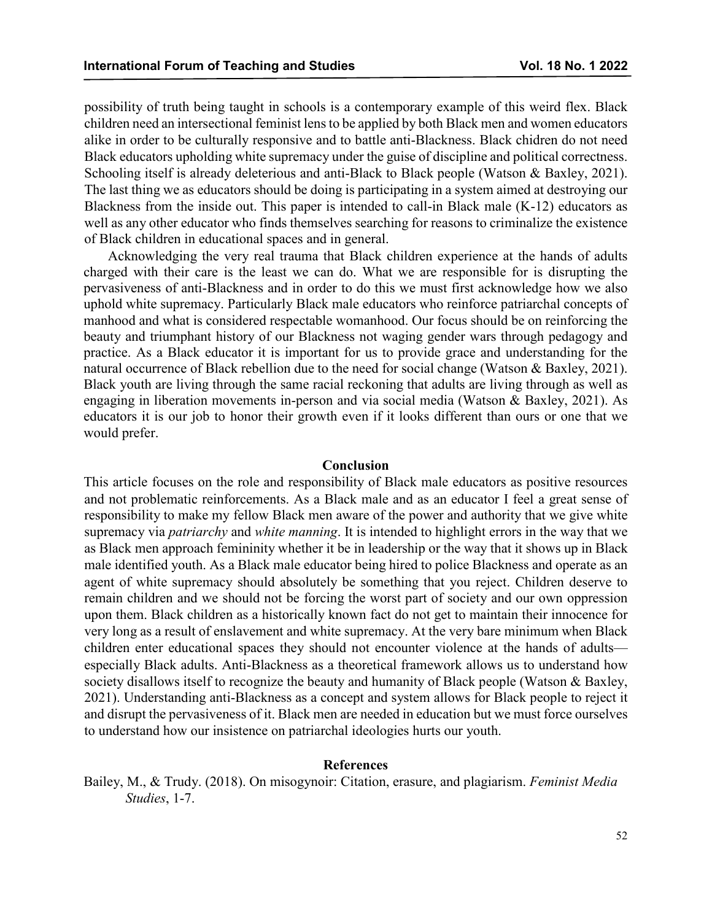possibility of truth being taught in schools is a contemporary example of this weird flex. Black children need an intersectional feminist lens to be applied by both Black men and women educators alike in order to be culturally responsive and to battle anti-Blackness. Black chidren do not need Black educators upholding white supremacy under the guise of discipline and political correctness. Schooling itself is already deleterious and anti-Black to Black people (Watson & Baxley, 2021). The last thing we as educators should be doing is participating in a system aimed at destroying our Blackness from the inside out. This paper is intended to call-in Black male (K-12) educators as well as any other educator who finds themselves searching for reasons to criminalize the existence of Black children in educational spaces and in general.

Acknowledging the very real trauma that Black children experience at the hands of adults charged with their care is the least we can do. What we are responsible for is disrupting the pervasiveness of anti-Blackness and in order to do this we must first acknowledge how we also uphold white supremacy. Particularly Black male educators who reinforce patriarchal concepts of manhood and what is considered respectable womanhood. Our focus should be on reinforcing the beauty and triumphant history of our Blackness not waging gender wars through pedagogy and practice. As a Black educator it is important for us to provide grace and understanding for the natural occurrence of Black rebellion due to the need for social change (Watson & Baxley, 2021). Black youth are living through the same racial reckoning that adults are living through as well as engaging in liberation movements in-person and via social media (Watson & Baxley, 2021). As educators it is our job to honor their growth even if it looks different than ours or one that we would prefer.

### **Conclusion**

This article focuses on the role and responsibility of Black male educators as positive resources and not problematic reinforcements. As a Black male and as an educator I feel a great sense of responsibility to make my fellow Black men aware of the power and authority that we give white supremacy via *patriarchy* and *white manning*. It is intended to highlight errors in the way that we as Black men approach femininity whether it be in leadership or the way that it shows up in Black male identified youth. As a Black male educator being hired to police Blackness and operate as an agent of white supremacy should absolutely be something that you reject. Children deserve to remain children and we should not be forcing the worst part of society and our own oppression upon them. Black children as a historically known fact do not get to maintain their innocence for very long as a result of enslavement and white supremacy. At the very bare minimum when Black children enter educational spaces they should not encounter violence at the hands of adults especially Black adults. Anti-Blackness as a theoretical framework allows us to understand how society disallows itself to recognize the beauty and humanity of Black people (Watson & Baxley, 2021). Understanding anti-Blackness as a concept and system allows for Black people to reject it and disrupt the pervasiveness of it. Black men are needed in education but we must force ourselves to understand how our insistence on patriarchal ideologies hurts our youth.

### **References**

Bailey, M., & Trudy. (2018). On misogynoir: Citation, erasure, and plagiarism. *Feminist Media Studies*, 1-7.